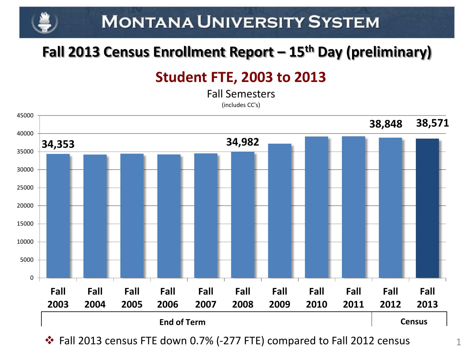## **MONTANA UNIVERSITY SYSTEM**

### **Fall 2013 Census Enrollment Report – 15th Day (preliminary)**

### **Student FTE, 2003 to 2013**

Fall Semesters

(includes CC's)



Fall 2013 census FTE down 0.7% (-277 FTE) compared to Fall 2012 census

1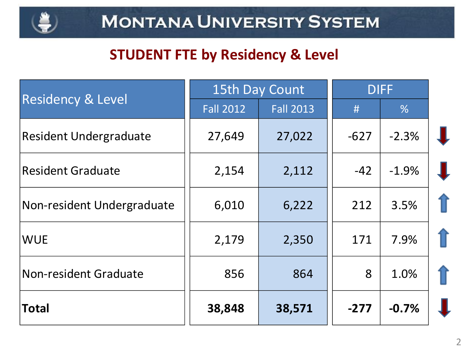

### **STUDENT FTE by Residency & Level**

|                               | 15th Day Count   | <b>DIFF</b>      |        |               |  |
|-------------------------------|------------------|------------------|--------|---------------|--|
| <b>Residency &amp; Level</b>  | <b>Fall 2012</b> | <b>Fall 2013</b> | #      | $\frac{9}{6}$ |  |
| <b>Resident Undergraduate</b> | 27,649           | 27,022           | $-627$ | $-2.3%$       |  |
| <b>Resident Graduate</b>      | 2,154            | 2,112            | $-42$  | $-1.9%$       |  |
| Non-resident Undergraduate    | 6,010            | 6,222            | 212    | 3.5%          |  |
| <b>WUE</b>                    | 2,179            | 2,350            | 171    | 7.9%          |  |
| Non-resident Graduate         | 856              | 864              | 8      | 1.0%          |  |
| <b>Total</b>                  | 38,848           | 38,571           | $-277$ | $-0.7%$       |  |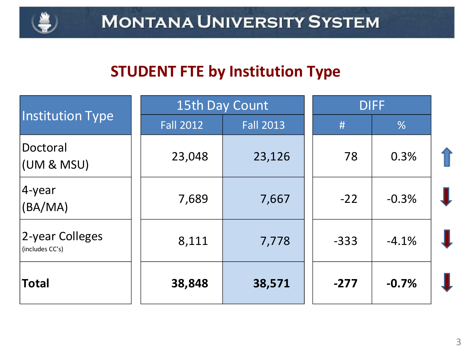

### **STUDENT FTE by Institution Type**

|                                    |                  | 15th Day Count   | <b>DIFF</b> |         |  |
|------------------------------------|------------------|------------------|-------------|---------|--|
| <b>Institution Type</b>            | <b>Fall 2012</b> | <b>Fall 2013</b> | #           | %       |  |
| Doctoral<br>(UM & MSU)             | 23,048           | 23,126           | 78          | 0.3%    |  |
| 4-year<br>(BA/MA)                  | 7,689            | 7,667            | $-22$       | $-0.3%$ |  |
| 2-year Colleges<br>(includes CC's) | 8,111            | 7,778            | $-333$      | $-4.1%$ |  |
| <b>Total</b>                       | 38,848           | 38,571           | $-277$      | $-0.7%$ |  |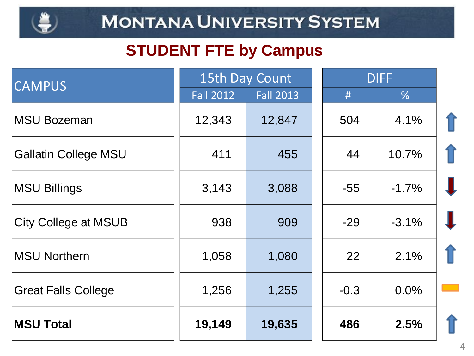

## **STUDENT FTE by Campus**

| <b>CAMPUS</b>               | 15th Day Count   |                  | <b>DIFF</b> |         |   |
|-----------------------------|------------------|------------------|-------------|---------|---|
|                             | <b>Fall 2012</b> | <b>Fall 2013</b> | #           | %       |   |
| <b>MSU Bozeman</b>          | 12,343           | 12,847           | 504         | 4.1%    |   |
| <b>Gallatin College MSU</b> | 411              | 455              | 44          | 10.7%   |   |
| <b>MSU Billings</b>         | 3,143            | 3,088            | $-55$       | $-1.7%$ |   |
| <b>City College at MSUB</b> | 938              | 909              | $-29$       | $-3.1%$ |   |
| <b>MSU Northern</b>         | 1,058            | 1,080            | 22          | 2.1%    |   |
| <b>Great Falls College</b>  | 1,256            | 1,255            | $-0.3$      | 0.0%    |   |
| <b>MSU Total</b>            | 19,149           | 19,635           | 486         | 2.5%    | 1 |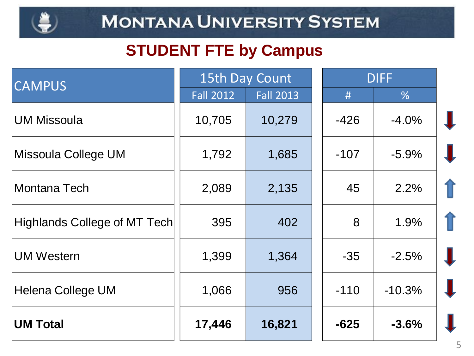

## **STUDENT FTE by Campus**

| <b>CAMPUS</b>                | 15th Day Count   |                  | <b>DIFF</b> |          |  |
|------------------------------|------------------|------------------|-------------|----------|--|
|                              | <b>Fall 2012</b> | <b>Fall 2013</b> | #           | %        |  |
| <b>UM Missoula</b>           | 10,705           | 10,279           | $-426$      | $-4.0%$  |  |
| Missoula College UM          | 1,792            | 1,685            | $-107$      | $-5.9%$  |  |
| Montana Tech                 | 2,089            | 2,135            | 45          | 2.2%     |  |
| Highlands College of MT Tech | 395              | 402              | 8           | 1.9%     |  |
| <b>UM Western</b>            | 1,399            | 1,364            | $-35$       | $-2.5%$  |  |
| <b>Helena College UM</b>     | 1,066            | 956              | $-110$      | $-10.3%$ |  |
| <b>UM Total</b>              | 17,446           | 16,821           | $-625$      | $-3.6%$  |  |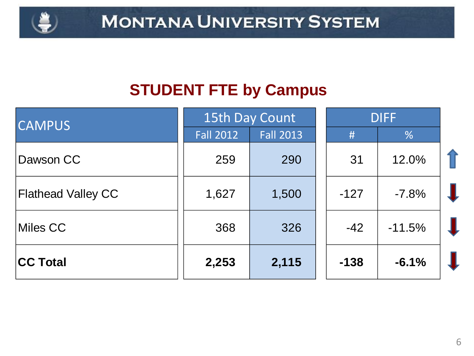

## **STUDENT FTE by Campus**

| <b>CAMPUS</b>             | 15th Day Count   |                  | <b>DIFF</b> |          |  |
|---------------------------|------------------|------------------|-------------|----------|--|
|                           | <b>Fall 2012</b> | <b>Fall 2013</b> | #           | %        |  |
| Dawson CC                 | 259              | 290              | 31          | 12.0%    |  |
| <b>Flathead Valley CC</b> | 1,627            | 1,500            | $-127$      | $-7.8%$  |  |
| Miles CC                  | 368              | 326              | $-42$       | $-11.5%$ |  |
| <b>CC Total</b>           | 2,253            | 2,115            | $-138$      | $-6.1%$  |  |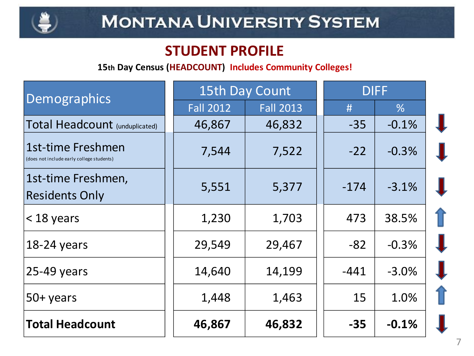

### **STUDENT PROFILE**

#### **15th Day Census (HEADCOUNT) Includes Community Colleges!**

| Demographics                                                   | 15th Day Count   |                  | <b>DIFF</b> |               |  |
|----------------------------------------------------------------|------------------|------------------|-------------|---------------|--|
|                                                                | <b>Fall 2012</b> | <b>Fall 2013</b> | #           | $\frac{9}{6}$ |  |
| <b>Total Headcount (unduplicated)</b>                          | 46,867           | 46,832           | $-35$       | $-0.1%$       |  |
| 1st-time Freshmen<br>(does not include early college students) | 7,544            | 7,522            | $-22$       | $-0.3%$       |  |
| 1st-time Freshmen,<br><b>Residents Only</b>                    | 5,551            | 5,377            | $-174$      | $-3.1%$       |  |
| $<$ 18 years                                                   | 1,230            | 1,703            | 473         | 38.5%         |  |
| 18-24 years                                                    | 29,549           | 29,467           | $-82$       | $-0.3%$       |  |
| $25-49$ years                                                  | 14,640           | 14,199           | $-441$      | $-3.0%$       |  |
| 50+ years                                                      | 1,448            | 1,463            | 15          | 1.0%          |  |
| <b>Total Headcount</b>                                         | 46,867           | 46,832           | $-35$       | $-0.1%$       |  |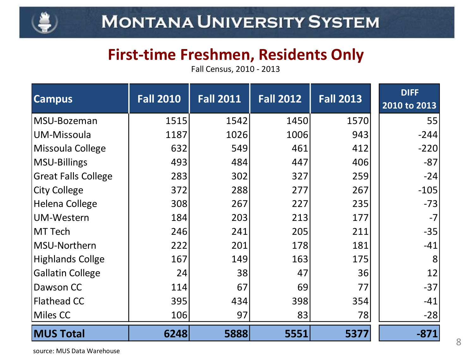

### **First-time Freshmen, Residents Only**

Fall Census, 2010 - 2013

| <b>Campus</b>              | <b>Fall 2010</b> | <b>Fall 2011</b> | <b>Fall 2012</b> | <b>Fall 2013</b> | <b>DIFF</b><br>2010 to 2013 |
|----------------------------|------------------|------------------|------------------|------------------|-----------------------------|
| MSU-Bozeman                | 1515             | 1542             | 1450             | 1570             | 55                          |
| UM-Missoula                | 1187             | 1026             | 1006             | 943              | $-244$                      |
| Missoula College           | 632              | 549              | 461              | 412              | $-220$                      |
| MSU-Billings               | 493              | 484              | 447              | 406              | $-87$                       |
| <b>Great Falls College</b> | 283              | 302              | 327              | 259              | $-24$                       |
| <b>City College</b>        | 372              | 288              | 277              | 267              | $-105$                      |
| <b>Helena College</b>      | 308              | 267              | 227              | 235              | $-73$                       |
| <b>UM-Western</b>          | 184              | 203              | 213              | 177              | $-7$                        |
| <b>MT Tech</b>             | 246              | 241              | 205              | 211              | $-35$                       |
| MSU-Northern               | 222              | 201              | 178              | 181              | $-41$                       |
| <b>Highlands Collge</b>    | 167              | 149              | 163              | 175              | 8                           |
| <b>Gallatin College</b>    | 24               | 38               | 47               | 36               | 12                          |
| Dawson CC                  | 114              | 67               | 69               | 77               | $-37$                       |
| <b>Flathead CC</b>         | 395              | 434              | 398              | 354              | $-41$                       |
| Miles CC                   | 106              | 97               | 83               | 78               | $-28$                       |
| <b>MUS Total</b>           | 6248             | 5888             | 5551             | 5377             | $-871$                      |

source: MUS Data Warehouse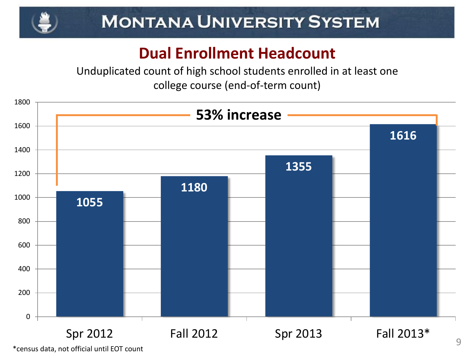

# **MONTANA UNIVERSITY SYSTEM**

## **Dual Enrollment Headcount**

Unduplicated count of high school students enrolled in at least one college course (end-of-term count)



\*census data, not official until EOT count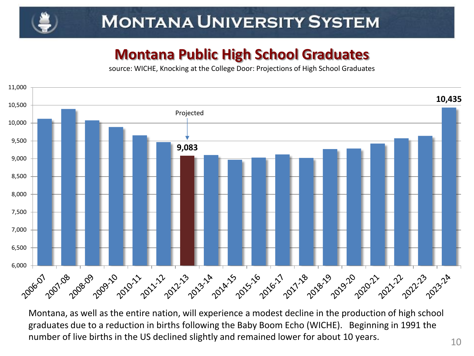# **MONTANA UNIVERSITY SYSTEM**

### **Montana Public High School Graduates**

source: WICHE, Knocking at the College Door: Projections of High School Graduates



Montana, as well as the entire nation, will experience a modest decline in the production of high school graduates due to a reduction in births following the Baby Boom Echo (WICHE). Beginning in 1991 the number of live births in the US declined slightly and remained lower for about 10 years.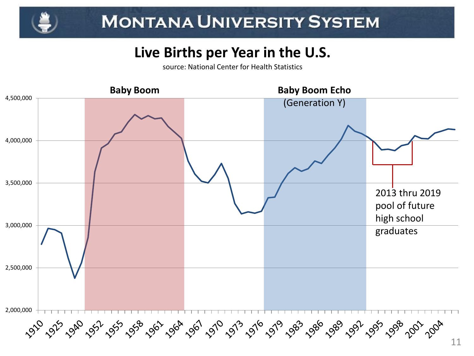### **Live Births per Year in the U.S.**

source: National Center for Health Statistics